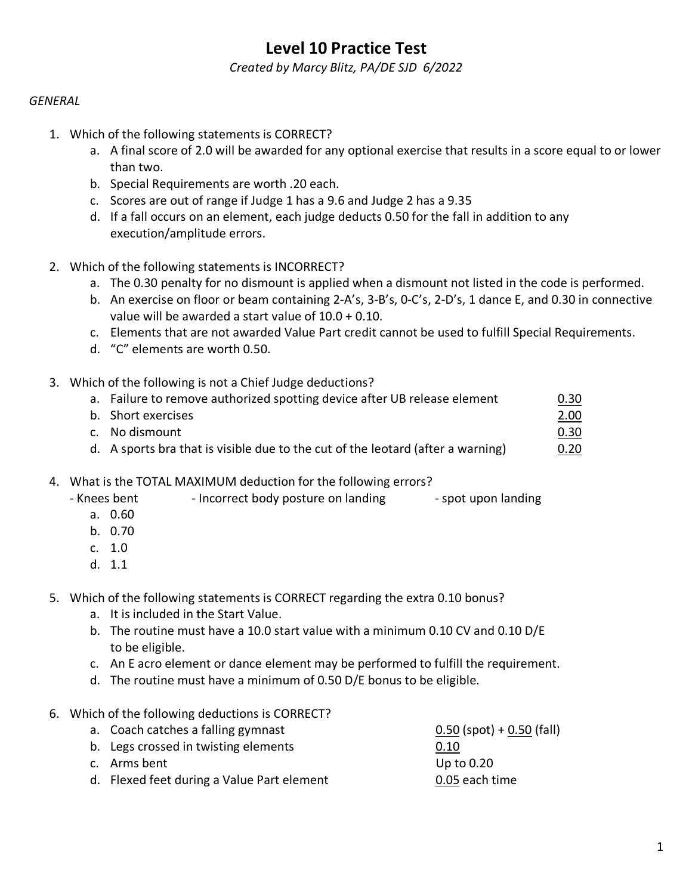# **Level 10 Practice Test**

*Created by Marcy Blitz, PA/DE SJD 6/2022*

## *GENERAL*

- 1. Which of the following statements is CORRECT?
	- a. A final score of 2.0 will be awarded for any optional exercise that results in a score equal to or lower than two.
	- b. Special Requirements are worth .20 each.
	- c. Scores are out of range if Judge 1 has a 9.6 and Judge 2 has a 9.35
	- d. If a fall occurs on an element, each judge deducts 0.50 for the fall in addition to any execution/amplitude errors.
- 2. Which of the following statements is INCORRECT?
	- a. The 0.30 penalty for no dismount is applied when a dismount not listed in the code is performed.
	- b. An exercise on floor or beam containing 2-A's, 3-B's, 0-C's, 2-D's, 1 dance E, and 0.30 in connective value will be awarded a start value of 10.0 + 0.10.
	- c. Elements that are not awarded Value Part credit cannot be used to fulfill Special Requirements.
	- d. "C" elements are worth 0.50.

### 3. Which of the following is not a Chief Judge deductions?

| a. Failure to remove authorized spotting device after UB release element        | 0.30 |
|---------------------------------------------------------------------------------|------|
| b. Short exercises                                                              | 2.00 |
| c. No dismount                                                                  | 0.30 |
| d. A sports bra that is visible due to the cut of the leotard (after a warning) | 0.20 |

- 4. What is the TOTAL MAXIMUM deduction for the following errors?
	- Knees bent Incorrect body posture on landing spot upon landing
		- a. 0.60
		- b. 0.70
		- c. 1.0
		- d. 1.1
- 5. Which of the following statements is CORRECT regarding the extra 0.10 bonus?
	- a. It is included in the Start Value.
	- b. The routine must have a 10.0 start value with a minimum 0.10 CV and 0.10 D/E to be eligible.
	- c. An E acro element or dance element may be performed to fulfill the requirement.
	- d. The routine must have a minimum of 0.50 D/E bonus to be eligible.
- 6. Which of the following deductions is CORRECT?

| a. Coach catches a falling gymnast         | $0.50$ (spot) + 0.50 (fall) |
|--------------------------------------------|-----------------------------|
| b. Legs crossed in twisting elements       | 0.10                        |
| c. Arms bent                               | Up to 0.20                  |
| d. Flexed feet during a Value Part element | 0.05 each time              |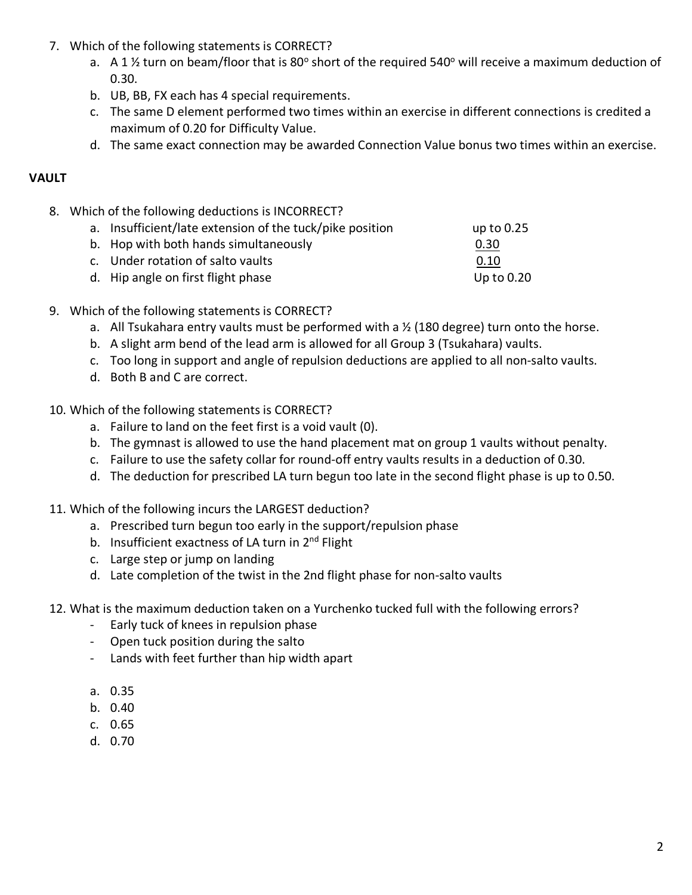- 7. Which of the following statements is CORRECT?
	- a. A 1  $\frac{1}{2}$  turn on beam/floor that is 80° short of the required 540° will receive a maximum deduction of 0.30.
	- b. UB, BB, FX each has 4 special requirements.
	- c. The same D element performed two times within an exercise in different connections is credited a maximum of 0.20 for Difficulty Value.
	- d. The same exact connection may be awarded Connection Value bonus two times within an exercise.

# **VAULT**

8. Which of the following deductions is INCORRECT?

| a. Insufficient/late extension of the tuck/pike position | up to 0.25   |
|----------------------------------------------------------|--------------|
| b. Hop with both hands simultaneously                    | 0.30         |
| c. Under rotation of salto vaults                        | 0.10         |
| d. Hip angle on first flight phase                       | Up to $0.20$ |

- 9. Which of the following statements is CORRECT?
	- a. All Tsukahara entry vaults must be performed with a  $\frac{1}{2}$  (180 degree) turn onto the horse.
	- b. A slight arm bend of the lead arm is allowed for all Group 3 (Tsukahara) vaults.
	- c. Too long in support and angle of repulsion deductions are applied to all non-salto vaults.
	- d. Both B and C are correct.
- 10. Which of the following statements is CORRECT?
	- a. Failure to land on the feet first is a void vault (0).
	- b. The gymnast is allowed to use the hand placement mat on group 1 vaults without penalty.
	- c. Failure to use the safety collar for round-off entry vaults results in a deduction of 0.30.
	- d. The deduction for prescribed LA turn begun too late in the second flight phase is up to 0.50.
- 11. Which of the following incurs the LARGEST deduction?
	- a. Prescribed turn begun too early in the support/repulsion phase
	- b. Insufficient exactness of LA turn in 2<sup>nd</sup> Flight
	- c. Large step or jump on landing
	- d. Late completion of the twist in the 2nd flight phase for non-salto vaults
- 12. What is the maximum deduction taken on a Yurchenko tucked full with the following errors?
	- Early tuck of knees in repulsion phase
	- Open tuck position during the salto
	- Lands with feet further than hip width apart
	- a. 0.35
	- b. 0.40
	- c. 0.65
	- d. 0.70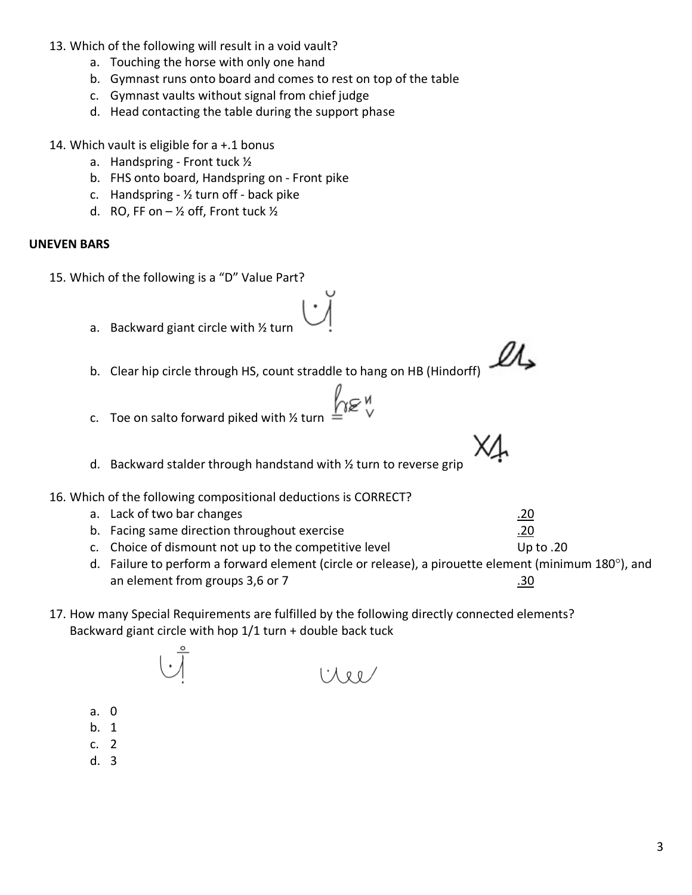- 13. Which of the following will result in a void vault?
	- a. Touching the horse with only one hand
	- b. Gymnast runs onto board and comes to rest on top of the table
	- c. Gymnast vaults without signal from chief judge
	- d. Head contacting the table during the support phase
- 14. Which vault is eligible for a +.1 bonus
	- a. Handspring Front tuck ½
	- b. FHS onto board, Handspring on Front pike
	- c. Handspring  $\frac{1}{2}$  turn off back pike
	- d. RO, FF on  $-$  1/2 off, Front tuck  $1/2$

# **UNEVEN BARS**

15. Which of the following is a "D" Value Part?

- a. Backward giant circle with ½ turn
- b. Clear hip circle through HS, count straddle to hang on HB (Hindorff)
- ี′า≋″ c. Toe on salto forward piked with ½ turn
- d. Backward stalder through handstand with ½ turn to reverse grip
- 16. Which of the following compositional deductions is CORRECT?
	- a. Lack of two bar changes **.20**
	- b. Facing same direction throughout exercise .20
	- c. Choice of dismount not up to the competitive level Up to .20
	- d. Failure to perform a forward element (circle or release), a pirouette element (minimum 180°), and an element from groups 3,6 or 7  $\sim$  .30
- 17. How many Special Requirements are fulfilled by the following directly connected elements? Backward giant circle with hop 1/1 turn + double back tuck

1 R D

- a. 0
- b. 1
- c. 2
- d. 3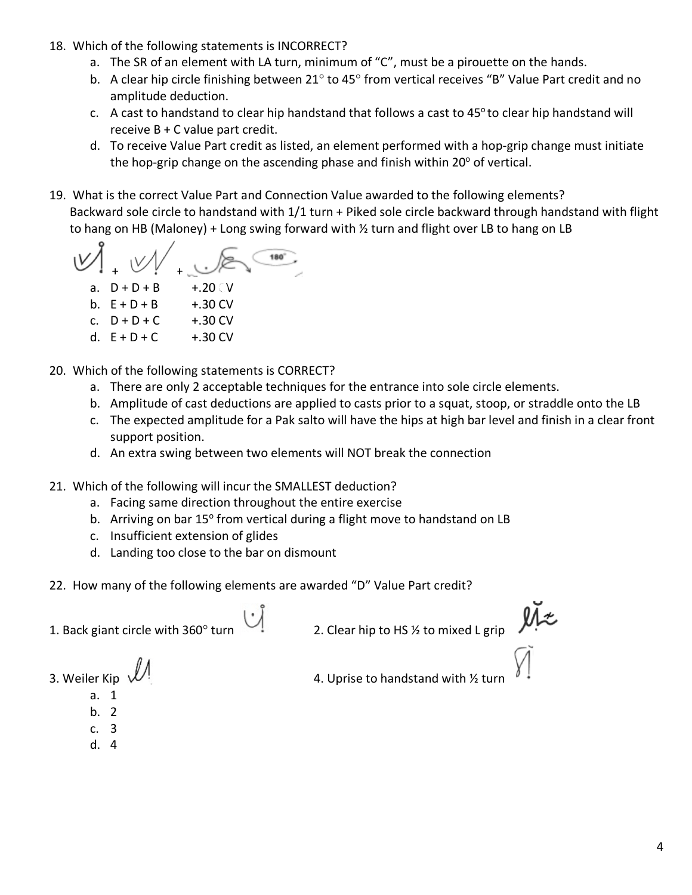- 18. Which of the following statements is INCORRECT?
	- a. The SR of an element with LA turn, minimum of "C", must be a pirouette on the hands.
	- b. A clear hip circle finishing between 21° to 45° from vertical receives "B" Value Part credit and no amplitude deduction.
	- c. A cast to handstand to clear hip handstand that follows a cast to  $45^{\circ}$  to clear hip handstand will receive B + C value part credit.
	- d. To receive Value Part credit as listed, an element performed with a hop-grip change must initiate the hop-grip change on the ascending phase and finish within  $20^{\circ}$  of vertical.
- 19. What is the correct Value Part and Connection Value awarded to the following elements? Backward sole circle to handstand with 1/1 turn + Piked sole circle backward through handstand with flight to hang on HB (Maloney) + Long swing forward with ½ turn and flight over LB to hang on LB

 $180^\circ$ + + a.  $D + D + B$  +.20 CV b.  $E + D + B$  +.30 CV c.  $D + D + C$  +.30 CV

- d.  $E + D + C$  +.30 CV
- 20. Which of the following statements is CORRECT?
	- a. There are only 2 acceptable techniques for the entrance into sole circle elements.
	- b. Amplitude of cast deductions are applied to casts prior to a squat, stoop, or straddle onto the LB
	- c. The expected amplitude for a Pak salto will have the hips at high bar level and finish in a clear front support position.
	- d. An extra swing between two elements will NOT break the connection
- 21. Which of the following will incur the SMALLEST deduction?
	- a. Facing same direction throughout the entire exercise
	- b. Arriving on bar 15° from vertical during a flight move to handstand on LB
	- c. Insufficient extension of glides
	- d. Landing too close to the bar on dismount
- 22. How many of the following elements are awarded "D" Value Part credit?

1. Back giant circle with 360° turn 1. Back giant circle with 360° turn 2. Clear hip to HS % to mixed L grip

3. Weiler Kip  $\mathcal{W}^!$  4. Uprise to handstand with  $\frac{1}{2}$  turn

- a. 1
- b. 2
- c. 3
- d. 4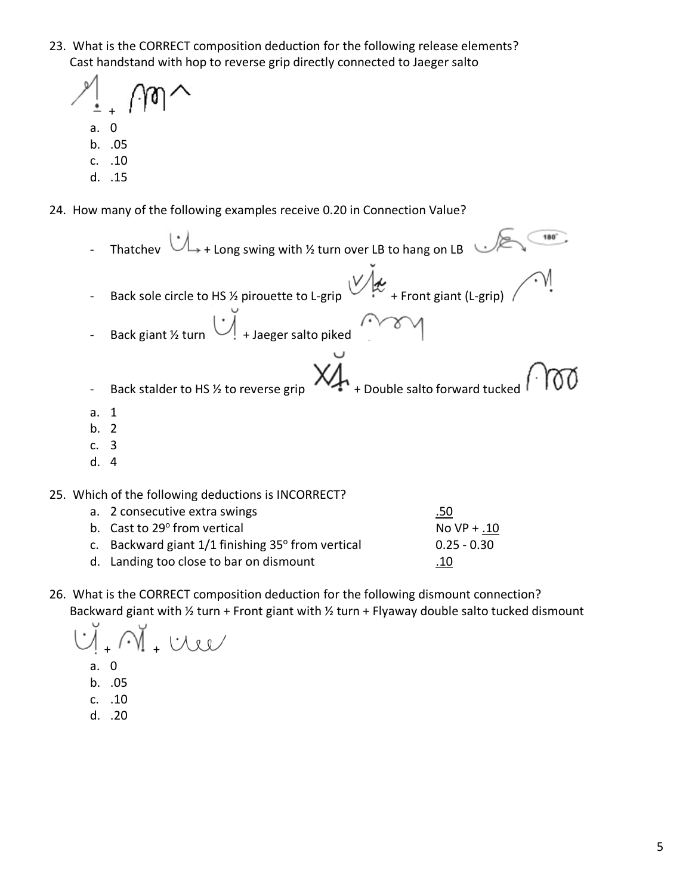23. What is the CORRECT composition deduction for the following release elements? Cast handstand with hop to reverse grip directly connected to Jaeger salto

+

- a. 0
- b. .05
- c. .10
- d. .15
- 24. How many of the following examples receive 0.20 in Connection Value?
- Thatchev  $\bigcup_{+}$  Long swing with ½ turn over LB to hang on LB - Back sole circle to HS 1/2 pirouette to L-grip  $\bigvee$  + Front giant (L-grip) Back giant ½ turn  $\bigcup_{n=1}^{\infty}$  + Jaeger salto piked XĻ - Back stalder to HS  $\frac{1}{2}$  to reverse grip  $\mathcal{H}_{\text{+}}$  + Double salto forward tucked a. 1 b. 2 c. 3 d. 4 25. Which of the following deductions is INCORRECT? a. 2 consecutive extra swings **and the set of the set of the set of the set of the set of the set of the set of the set of the set of the set of the set of the set of the set of the set of the set of the set of the set of** b. Cast to  $29^{\circ}$  from vertical No VP + .10
	- c. Backward giant  $1/1$  finishing  $35^{\circ}$  from vertical 0.25 0.30
	- d. Landing too close to bar on dismount ... 10
- 26. What is the CORRECT composition deduction for the following dismount connection? Backward giant with ½ turn + Front giant with ½ turn + Flyaway double salto tucked dismount

 $\dot{U}$ 

- a. 0
- b. .05
- c. .10
- d. .20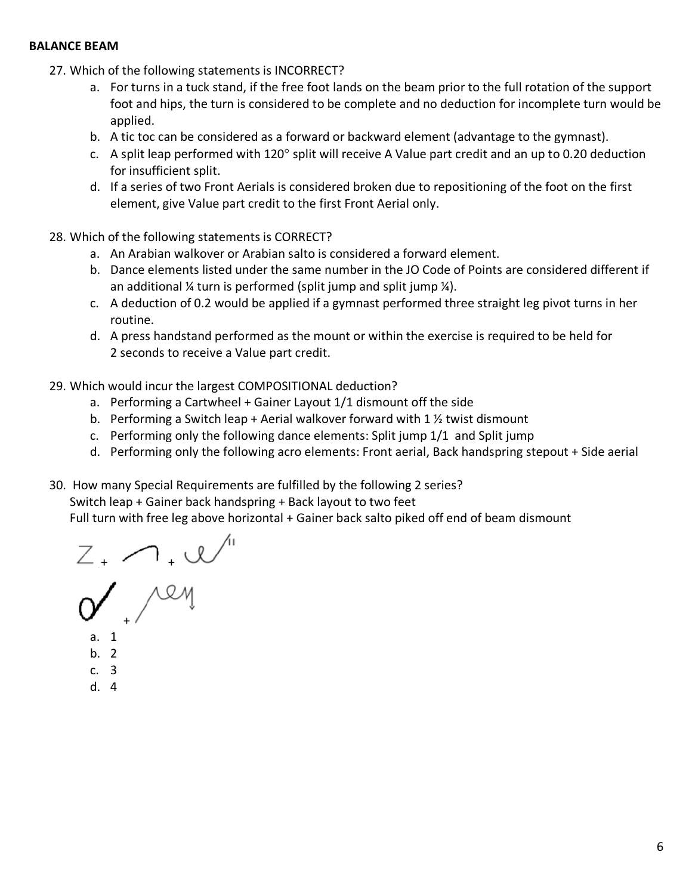#### **BALANCE BEAM**

- 27. Which of the following statements is INCORRECT?
	- a. For turns in a tuck stand, if the free foot lands on the beam prior to the full rotation of the support foot and hips, the turn is considered to be complete and no deduction for incomplete turn would be applied.
	- b. A tic toc can be considered as a forward or backward element (advantage to the gymnast).
	- c. A split leap performed with 120° split will receive A Value part credit and an up to 0.20 deduction for insufficient split.
	- d. If a series of two Front Aerials is considered broken due to repositioning of the foot on the first element, give Value part credit to the first Front Aerial only.
- 28. Which of the following statements is CORRECT?
	- a. An Arabian walkover or Arabian salto is considered a forward element.
	- b. Dance elements listed under the same number in the JO Code of Points are considered different if an additional ¼ turn is performed (split jump and split jump ¼).
	- c. A deduction of 0.2 would be applied if a gymnast performed three straight leg pivot turns in her routine.
	- d. A press handstand performed as the mount or within the exercise is required to be held for 2 seconds to receive a Value part credit.
- 29. Which would incur the largest COMPOSITIONAL deduction?
	- a. Performing a Cartwheel + Gainer Layout 1/1 dismount off the side
	- b. Performing a Switch leap + Aerial walkover forward with 1 ½ twist dismount
	- c. Performing only the following dance elements: Split jump 1/1 and Split jump
	- d. Performing only the following acro elements: Front aerial, Back handspring stepout + Side aerial
- 30. How many Special Requirements are fulfilled by the following 2 series?

Switch leap + Gainer back handspring + Back layout to two feet

Full turn with free leg above horizontal + Gainer back salto piked off end of beam dismount

+ +

+

- a. 1
- b. 2
- c. 3
- d. 4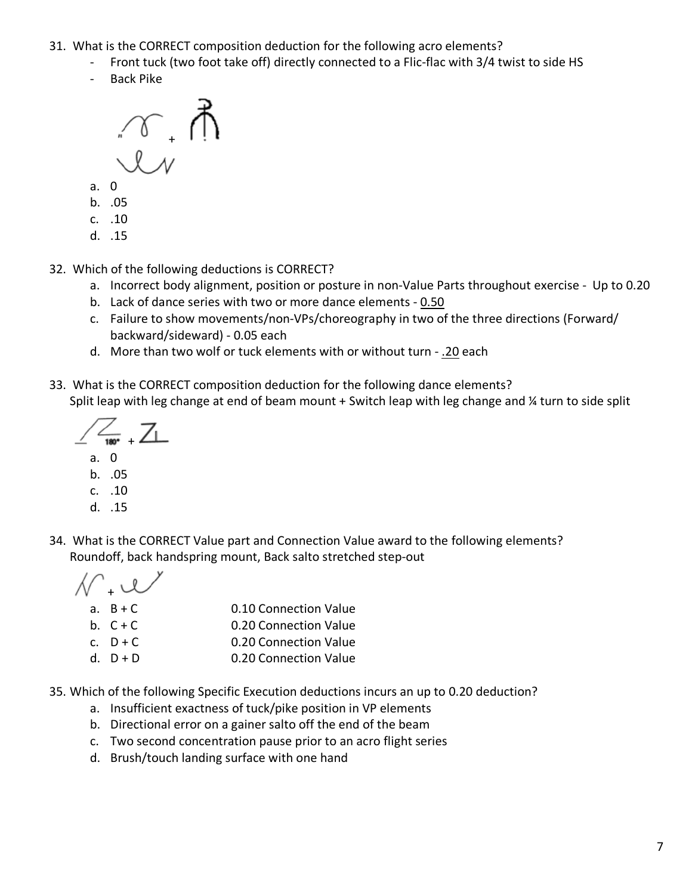- 31. What is the CORRECT composition deduction for the following acro elements?
	- Front tuck (two foot take off) directly connected to a Flic-flac with 3/4 twist to side HS
	- Back Pike



- a. 0
- b. .05
- c. .10
- d. .15
- 32. Which of the following deductions is CORRECT?
	- a. Incorrect body alignment, position or posture in non-Value Parts throughout exercise Up to 0.20
	- b. Lack of dance series with two or more dance elements 0.50
	- c. Failure to show movements/non-VPs/choreography in two of the three directions (Forward/ backward/sideward) - 0.05 each
	- d. More than two wolf or tuck elements with or without turn .20 each
- 33. What is the CORRECT composition deduction for the following dance elements? Split leap with leg change at end of beam mount + Switch leap with leg change and ¼ turn to side split

 $\frac{1}{180}$   $\frac{1}{4}$ a. 0

- b. .05
- c. .10
- d. .15
- 34. What is the CORRECT Value part and Connection Value award to the following elements? Roundoff, back handspring mount, Back salto stretched step-out

| $N \cdot \omega$ |                       |
|------------------|-----------------------|
| a. $B+C$         | 0.10 Connection Value |
| b. $C + C$       | 0.20 Connection Value |
| c. $D + C$       | 0.20 Connection Value |
| $d.$ D + D       | 0.20 Connection Value |
|                  |                       |

- 35. Which of the following Specific Execution deductions incurs an up to 0.20 deduction?
	- a. Insufficient exactness of tuck/pike position in VP elements
	- b. Directional error on a gainer salto off the end of the beam
	- c. Two second concentration pause prior to an acro flight series
	- d. Brush/touch landing surface with one hand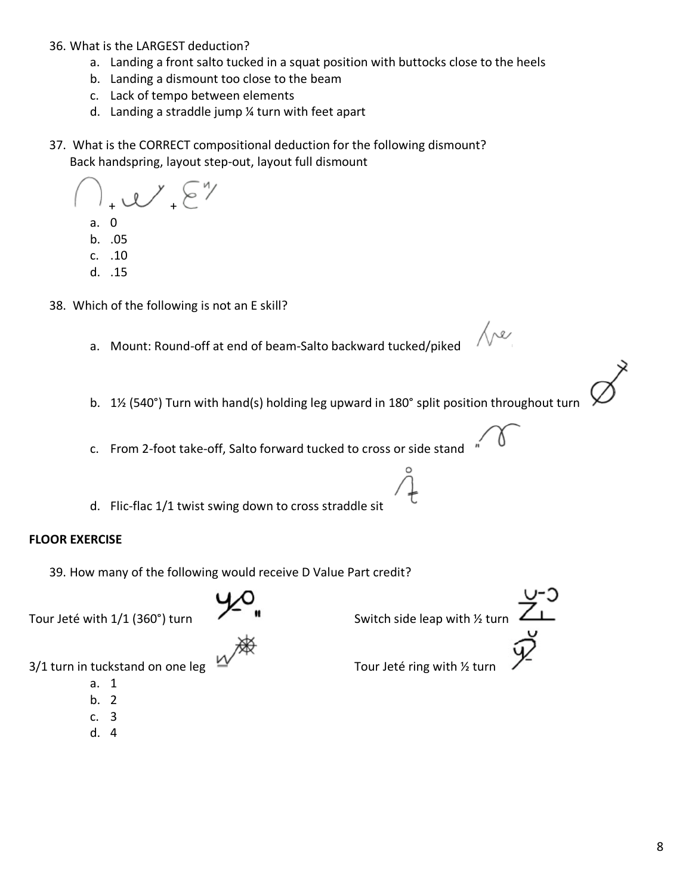- 36. What is the LARGEST deduction?
	- a. Landing a front salto tucked in a squat position with buttocks close to the heels
	- b. Landing a dismount too close to the beam
	- c. Lack of tempo between elements
	- d. Landing a straddle jump ¼ turn with feet apart
- 37. What is the CORRECT compositional deduction for the following dismount? Back handspring, layout step-out, layout full dismount

 $\ell$   $\sqrt{2}$ a. 0 b. .05 c. .10 d. .15

- 38. Which of the following is not an E skill?
	- a. Mount: Round-off at end of beam-Salto backward tucked/piked
	- b. 1½ (540°) Turn with hand(s) holding leg upward in 180° split position throughout turn
	- c. From 2-foot take-off, Salto forward tucked to cross or side stand
	- d. Flic-flac 1/1 twist swing down to cross straddle sit

# **FLOOR EXERCISE**

39. How many of the following would receive D Value Part credit?



Tour Jeté with  $1/1$  (360°) turn  $\overline{X}$  **i** Switch side leap with ½ turn  $\overline{Z}$ 

Jre

 $3/1$  turn in tuckstand on one leg  $\frac{2\pi}{3}$  Tour Jeté ring with  $\frac{1}{2}$  turn

- a. 1
- b. 2 c. 3
- 
- d. 4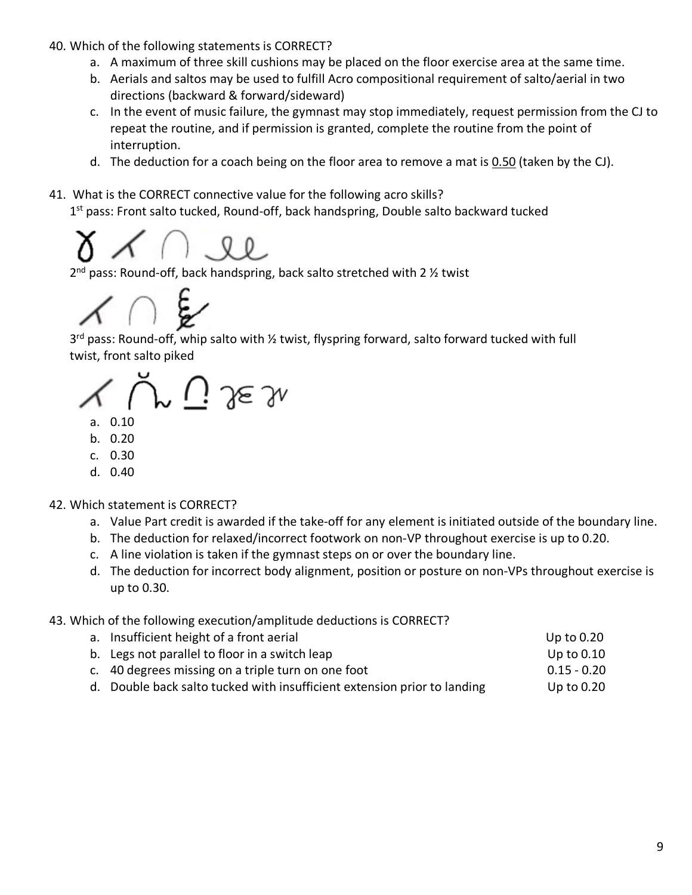40. Which of the following statements is CORRECT?

- a. A maximum of three skill cushions may be placed on the floor exercise area at the same time.
- b. Aerials and saltos may be used to fulfill Acro compositional requirement of salto/aerial in two directions (backward & forward/sideward)
- c. In the event of music failure, the gymnast may stop immediately, request permission from the CJ to repeat the routine, and if permission is granted, complete the routine from the point of interruption.
- d. The deduction for a coach being on the floor area to remove a mat is  $0.50$  (taken by the CJ).
- 41. What is the CORRECT connective value for the following acro skills? 1<sup>st</sup> pass: Front salto tucked, Round-off, back handspring, Double salto backward tucked



 $2<sup>nd</sup>$  pass: Round-off, back handspring, back salto stretched with 2  $\frac{1}{2}$  twist



3<sup>rd</sup> pass: Round-off, whip salto with 1/2 twist, flyspring forward, salto forward tucked with full twist, front salto piked

 $\mathcal{M}$  (  $j$  ) see 3n

- a. 0.10
- b. 0.20
- c. 0.30
- d. 0.40

# 42. Which statement is CORRECT?

- a. Value Part credit is awarded if the take-off for any element is initiated outside of the boundary line.
- b. The deduction for relaxed/incorrect footwork on non-VP throughout exercise is up to 0.20.
- c. A line violation is taken if the gymnast steps on or over the boundary line.
- d. The deduction for incorrect body alignment, position or posture on non-VPs throughout exercise is up to 0.30.
- 43. Which of the following execution/amplitude deductions is CORRECT?

| a. Insufficient height of a front aerial                                 | Up to $0.20$  |
|--------------------------------------------------------------------------|---------------|
| b. Legs not parallel to floor in a switch leap                           | Up to $0.10$  |
| c. 40 degrees missing on a triple turn on one foot                       | $0.15 - 0.20$ |
| d. Double back salto tucked with insufficient extension prior to landing | Up to $0.20$  |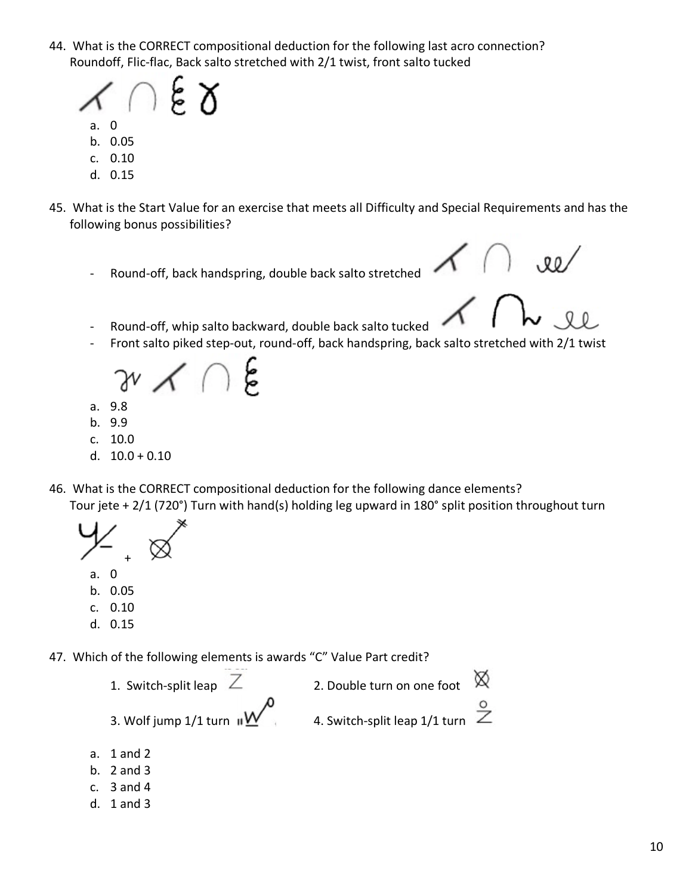44. What is the CORRECT compositional deduction for the following last acro connection? Roundoff, Flic-flac, Back salto stretched with 2/1 twist, front salto tucked



- b. 0.05
- c. 0.10
- d. 0.15
- 45. What is the Start Value for an exercise that meets all Difficulty and Special Requirements and has the following bonus possibilities?
	- Round-off, back handspring, double back salto stretched

- Round-off, whip salto backward, double back salto tucked
- Front salto piked step-out, round-off, back handspring, back salto stretched with 2/1 twist

- a. 9.8
- b. 9.9
- c. 10.0
- d.  $10.0 + 0.10$
- 46. What is the CORRECT compositional deduction for the following dance elements? Tour jete + 2/1 (720°) Turn with hand(s) holding leg upward in 180° split position throughout turn

+

- a. 0
- b. 0.05
- c. 0.10
- d. 0.15
- 47. Which of the following elements is awards "C" Value Part credit?
	- </del> 1. Switch-split leap  $\overline{Z}$  2. Double turn on one foot 3. Wolf jump  $1/1$  turn  $\mathbf{W}$  4. Switch-split leap  $1/1$  turn
	- a. 1 and 2
	- b. 2 and 3
	- c. 3 and 4
	- d. 1 and 3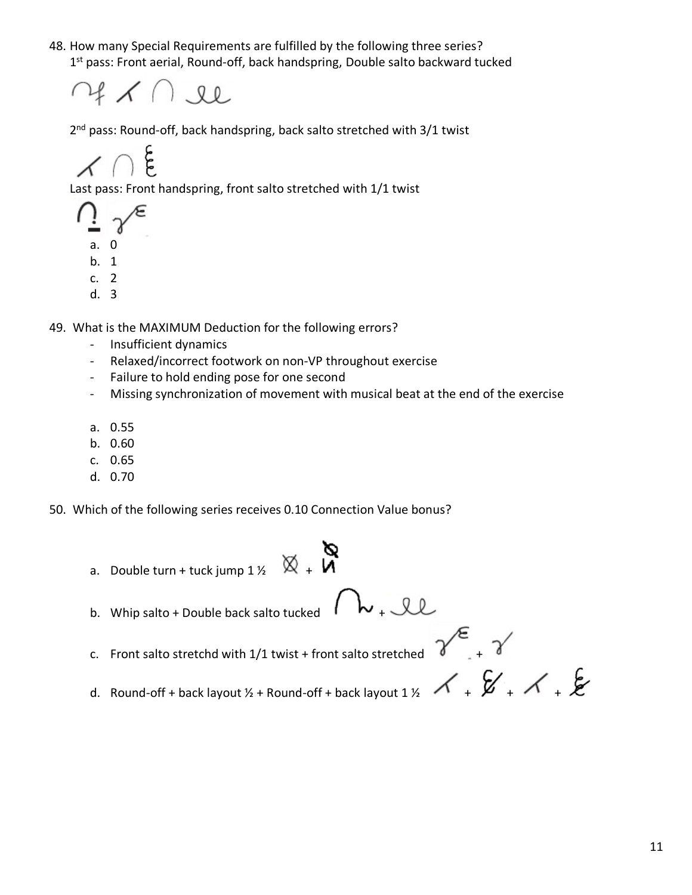48. How many Special Requirements are fulfilled by the following three series? 1<sup>st</sup> pass: Front aerial, Round-off, back handspring, Double salto backward tucked



2<sup>nd</sup> pass: Round-off, back handspring, back salto stretched with 3/1 twist

င်

Last pass: Front handspring, front salto stretched with 1/1 twist

- a. 0
- b. 1
- c. 2
- d. 3

49. What is the MAXIMUM Deduction for the following errors?

- Insufficient dynamics
- Relaxed/incorrect footwork on non-VP throughout exercise
- Failure to hold ending pose for one second
- Missing synchronization of movement with musical beat at the end of the exercise
- a. 0.55
- b. 0.60
- c. 0.65
- d. 0.70

50. Which of the following series receives 0.10 Connection Value bonus?

- a. Double turn + tuck jump  $1\frac{1}{2}$   $\overline{\otimes}$  + b. Whip salto + Double back salto tucked  $\wedge \mathsf{b}_+$  let c. Front salto stretchd with 1/1 twist + front salto stretched  $\gamma^{\epsilon}$  +  $\gamma^{\epsilon}$
- d. Round-off + back layout ½ + Round-off + back layout 1 ½  $\leftarrow$  +  $\leftarrow$  +  $\leftarrow$  +  $\leftarrow$